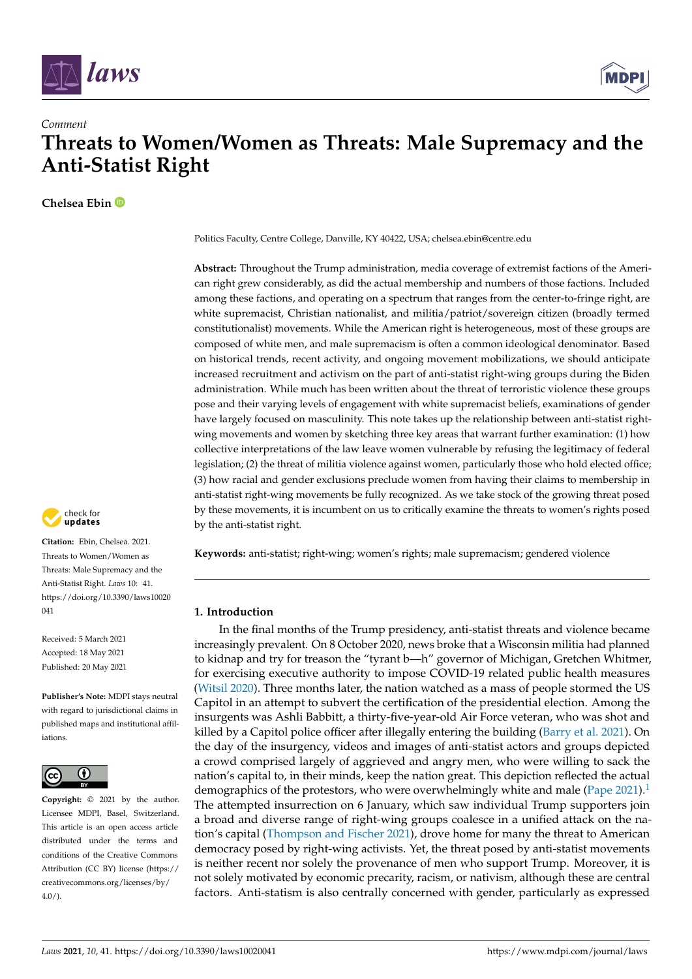



# **Threats to Women/Women as Threats: Male Supremacy and the Anti-Statist Right**

**Chelsea Ebin**

*Comment*



**Citation:** Ebin, Chelsea. 2021. Threats to Women/Women as Threats: Male Supremacy and the Anti-Statist Right. *Laws* 10: 41. [https://doi.org/10.3390/laws10020](https://doi.org/10.3390/laws10020041)  $041$ 

Received: 5 March 2021 Accepted: 18 May 2021 Published: 20 May 2021

**Publisher's Note:** MDPI stays neutral with regard to jurisdictional claims in published maps and institutional affiliations.



**Copyright:** © 2021 by the author. Licensee MDPI, Basel, Switzerland. This article is an open access article distributed under the terms and conditions of the Creative Commons Attribution (CC BY) license (https:/[/](https://creativecommons.org/licenses/by/4.0/) [creativecommons.org/licenses/by/](https://creativecommons.org/licenses/by/4.0/)  $4.0/$ ).

Politics Faculty, Centre College, Danville, KY 40422, USA; chelsea.ebin@centre.edu

**Abstract:** Throughout the Trump administration, media coverage of extremist factions of the American right grew considerably, as did the actual membership and numbers of those factions. Included among these factions, and operating on a spectrum that ranges from the center-to-fringe right, are white supremacist, Christian nationalist, and militia/patriot/sovereign citizen (broadly termed constitutionalist) movements. While the American right is heterogeneous, most of these groups are composed of white men, and male supremacism is often a common ideological denominator. Based on historical trends, recent activity, and ongoing movement mobilizations, we should anticipate increased recruitment and activism on the part of anti-statist right-wing groups during the Biden administration. While much has been written about the threat of terroristic violence these groups pose and their varying levels of engagement with white supremacist beliefs, examinations of gender have largely focused on masculinity. This note takes up the relationship between anti-statist rightwing movements and women by sketching three key areas that warrant further examination: (1) how collective interpretations of the law leave women vulnerable by refusing the legitimacy of federal legislation; (2) the threat of militia violence against women, particularly those who hold elected office; (3) how racial and gender exclusions preclude women from having their claims to membership in anti-statist right-wing movements be fully recognized. As we take stock of the growing threat posed by these movements, it is incumbent on us to critically examine the threats to women's rights posed by the anti-statist right.

**Keywords:** anti-statist; right-wing; women's rights; male supremacism; gendered violence

# **1. Introduction**

In the final months of the Trump presidency, anti-statist threats and violence became increasingly prevalent. On 8 October 2020, news broke that a Wisconsin militia had planned to kidnap and try for treason the "tyrant b—h" governor of Michigan, Gretchen Whitmer, for exercising executive authority to impose COVID-19 related public health measures [\(Witsil](#page-12-0) [2020\)](#page-12-0). Three months later, the nation watched as a mass of people stormed the US Capitol in an attempt to subvert the certification of the presidential election. Among the insurgents was Ashli Babbitt, a thirty-five-year-old Air Force veteran, who was shot and killed by a Capitol police officer after illegally entering the building [\(Barry et al.](#page-11-0) [2021\)](#page-11-0). On the day of the insurgency, videos and images of anti-statist actors and groups depicted a crowd comprised largely of aggrieved and angry men, who were willing to sack the nation's capital to, in their minds, keep the nation great. This depiction reflected the actual demographics of the protestors, who were overwhelmingly white and male  $(Pape 2021)^{1}$  $(Pape 2021)^{1}$  $(Pape 2021)^{1}$  $(Pape 2021)^{1}$  $(Pape 2021)^{1}$  $(Pape 2021)^{1}$ The attempted insurrection on 6 January, which saw individual Trump supporters join a broad and diverse range of right-wing groups coalesce in a unified attack on the nation's capital [\(Thompson and Fischer](#page-12-2) [2021\)](#page-12-2), drove home for many the threat to American democracy posed by right-wing activists. Yet, the threat posed by anti-statist movements is neither recent nor solely the provenance of men who support Trump. Moreover, it is not solely motivated by economic precarity, racism, or nativism, although these are central factors. Anti-statism is also centrally concerned with gender, particularly as expressed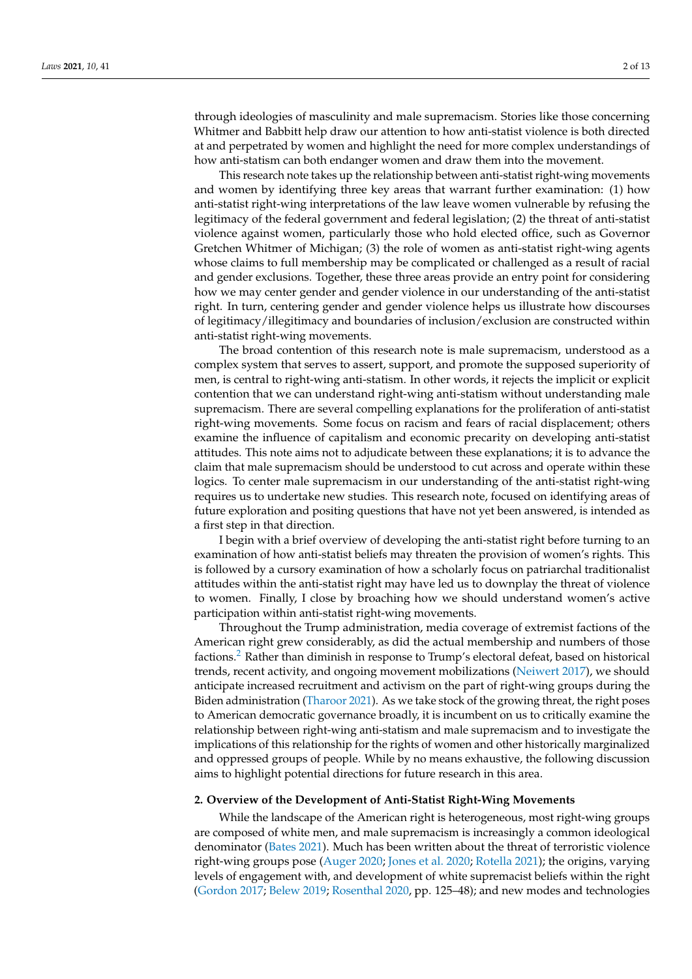through ideologies of masculinity and male supremacism. Stories like those concerning Whitmer and Babbitt help draw our attention to how anti-statist violence is both directed at and perpetrated by women and highlight the need for more complex understandings of how anti-statism can both endanger women and draw them into the movement.

This research note takes up the relationship between anti-statist right-wing movements and women by identifying three key areas that warrant further examination: (1) how anti-statist right-wing interpretations of the law leave women vulnerable by refusing the legitimacy of the federal government and federal legislation; (2) the threat of anti-statist violence against women, particularly those who hold elected office, such as Governor Gretchen Whitmer of Michigan; (3) the role of women as anti-statist right-wing agents whose claims to full membership may be complicated or challenged as a result of racial and gender exclusions. Together, these three areas provide an entry point for considering how we may center gender and gender violence in our understanding of the anti-statist right. In turn, centering gender and gender violence helps us illustrate how discourses of legitimacy/illegitimacy and boundaries of inclusion/exclusion are constructed within anti-statist right-wing movements.

The broad contention of this research note is male supremacism, understood as a complex system that serves to assert, support, and promote the supposed superiority of men, is central to right-wing anti-statism. In other words, it rejects the implicit or explicit contention that we can understand right-wing anti-statism without understanding male supremacism. There are several compelling explanations for the proliferation of anti-statist right-wing movements. Some focus on racism and fears of racial displacement; others examine the influence of capitalism and economic precarity on developing anti-statist attitudes. This note aims not to adjudicate between these explanations; it is to advance the claim that male supremacism should be understood to cut across and operate within these logics. To center male supremacism in our understanding of the anti-statist right-wing requires us to undertake new studies. This research note, focused on identifying areas of future exploration and positing questions that have not yet been answered, is intended as a first step in that direction.

I begin with a brief overview of developing the anti-statist right before turning to an examination of how anti-statist beliefs may threaten the provision of women's rights. This is followed by a cursory examination of how a scholarly focus on patriarchal traditionalist attitudes within the anti-statist right may have led us to downplay the threat of violence to women. Finally, I close by broaching how we should understand women's active participation within anti-statist right-wing movements.

Throughout the Trump administration, media coverage of extremist factions of the American right grew considerably, as did the actual membership and numbers of those factions.[2](#page-10-1) Rather than diminish in response to Trump's electoral defeat, based on historical trends, recent activity, and ongoing movement mobilizations [\(Neiwert](#page-12-3) [2017\)](#page-12-3), we should anticipate increased recruitment and activism on the part of right-wing groups during the Biden administration [\(Tharoor](#page-12-4) [2021\)](#page-12-4). As we take stock of the growing threat, the right poses to American democratic governance broadly, it is incumbent on us to critically examine the relationship between right-wing anti-statism and male supremacism and to investigate the implications of this relationship for the rights of women and other historically marginalized and oppressed groups of people. While by no means exhaustive, the following discussion aims to highlight potential directions for future research in this area.

## **2. Overview of the Development of Anti-Statist Right-Wing Movements**

While the landscape of the American right is heterogeneous, most right-wing groups are composed of white men, and male supremacism is increasingly a common ideological denominator [\(Bates](#page-11-1) [2021\)](#page-11-1). Much has been written about the threat of terroristic violence right-wing groups pose [\(Auger](#page-11-2) [2020;](#page-11-2) [Jones et al.](#page-12-5) [2020;](#page-12-5) [Rotella](#page-12-6) [2021\)](#page-12-6); the origins, varying levels of engagement with, and development of white supremacist beliefs within the right [\(Gordon](#page-11-3) [2017;](#page-11-3) [Belew](#page-11-4) [2019;](#page-11-4) [Rosenthal](#page-12-7) [2020,](#page-12-7) pp. 125–48); and new modes and technologies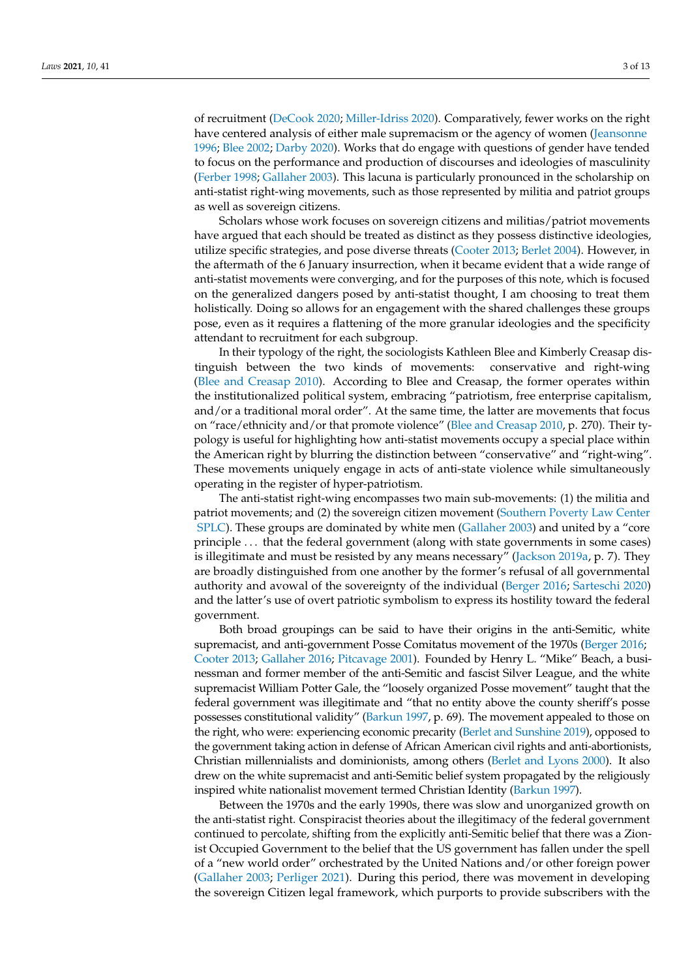of recruitment [\(DeCook](#page-11-5) [2020;](#page-11-5) [Miller-Idriss](#page-12-8) [2020\)](#page-12-8). Comparatively, fewer works on the right have centered analysis of either male supremacism or the agency of women [\(Jeansonne](#page-11-6) [1996;](#page-11-6) [Blee](#page-11-7) [2002;](#page-11-7) [Darby](#page-11-8) [2020\)](#page-11-8). Works that do engage with questions of gender have tended to focus on the performance and production of discourses and ideologies of masculinity [\(Ferber](#page-11-9) [1998;](#page-11-9) [Gallaher](#page-11-10) [2003\)](#page-11-10). This lacuna is particularly pronounced in the scholarship on anti-statist right-wing movements, such as those represented by militia and patriot groups as well as sovereign citizens.

Scholars whose work focuses on sovereign citizens and militias/patriot movements have argued that each should be treated as distinct as they possess distinctive ideologies, utilize specific strategies, and pose diverse threats [\(Cooter](#page-11-11) [2013;](#page-11-11) [Berlet](#page-11-12) [2004\)](#page-11-12). However, in the aftermath of the 6 January insurrection, when it became evident that a wide range of anti-statist movements were converging, and for the purposes of this note, which is focused on the generalized dangers posed by anti-statist thought, I am choosing to treat them holistically. Doing so allows for an engagement with the shared challenges these groups pose, even as it requires a flattening of the more granular ideologies and the specificity attendant to recruitment for each subgroup.

In their typology of the right, the sociologists Kathleen Blee and Kimberly Creasap distinguish between the two kinds of movements: conservative and right-wing [\(Blee and Creasap](#page-11-13) [2010\)](#page-11-13). According to Blee and Creasap, the former operates within the institutionalized political system, embracing "patriotism, free enterprise capitalism, and/or a traditional moral order". At the same time, the latter are movements that focus on "race/ethnicity and/or that promote violence" [\(Blee and Creasap](#page-11-13) [2010,](#page-11-13) p. 270). Their typology is useful for highlighting how anti-statist movements occupy a special place within the American right by blurring the distinction between "conservative" and "right-wing". These movements uniquely engage in acts of anti-state violence while simultaneously operating in the register of hyper-patriotism.

The anti-statist right-wing encompasses two main sub-movements: (1) the militia and patriot movements; and (2) the sovereign citizen movement [\(Southern Poverty Law Center](#page-12-9) [SPLC\)](#page-12-9). These groups are dominated by white men [\(Gallaher](#page-11-10) [2003\)](#page-11-10) and united by a "core principle . . . that the federal government (along with state governments in some cases) is illegitimate and must be resisted by any means necessary" [\(Jackson](#page-11-14) [2019a,](#page-11-14) p. 7). They are broadly distinguished from one another by the former's refusal of all governmental authority and avowal of the sovereignty of the individual [\(Berger](#page-11-15) [2016;](#page-11-15) [Sarteschi](#page-12-10) [2020\)](#page-12-10) and the latter's use of overt patriotic symbolism to express its hostility toward the federal government.

Both broad groupings can be said to have their origins in the anti-Semitic, white supremacist, and anti-government Posse Comitatus movement of the 1970s [\(Berger](#page-11-15) [2016;](#page-11-15) [Cooter](#page-11-11) [2013;](#page-11-11) [Gallaher](#page-11-16) [2016;](#page-11-16) [Pitcavage](#page-12-11) [2001\)](#page-12-11). Founded by Henry L. "Mike" Beach, a businessman and former member of the anti-Semitic and fascist Silver League, and the white supremacist William Potter Gale, the "loosely organized Posse movement" taught that the federal government was illegitimate and "that no entity above the county sheriff's posse possesses constitutional validity" [\(Barkun](#page-11-17) [1997,](#page-11-17) p. 69). The movement appealed to those on the right, who were: experiencing economic precarity [\(Berlet and Sunshine](#page-11-18) [2019\)](#page-11-18), opposed to the government taking action in defense of African American civil rights and anti-abortionists, Christian millennialists and dominionists, among others [\(Berlet and Lyons](#page-11-19) [2000\)](#page-11-19). It also drew on the white supremacist and anti-Semitic belief system propagated by the religiously inspired white nationalist movement termed Christian Identity [\(Barkun](#page-11-17) [1997\)](#page-11-17).

Between the 1970s and the early 1990s, there was slow and unorganized growth on the anti-statist right. Conspiracist theories about the illegitimacy of the federal government continued to percolate, shifting from the explicitly anti-Semitic belief that there was a Zionist Occupied Government to the belief that the US government has fallen under the spell of a "new world order" orchestrated by the United Nations and/or other foreign power [\(Gallaher](#page-11-10) [2003;](#page-11-10) [Perliger](#page-12-12) [2021\)](#page-12-12). During this period, there was movement in developing the sovereign Citizen legal framework, which purports to provide subscribers with the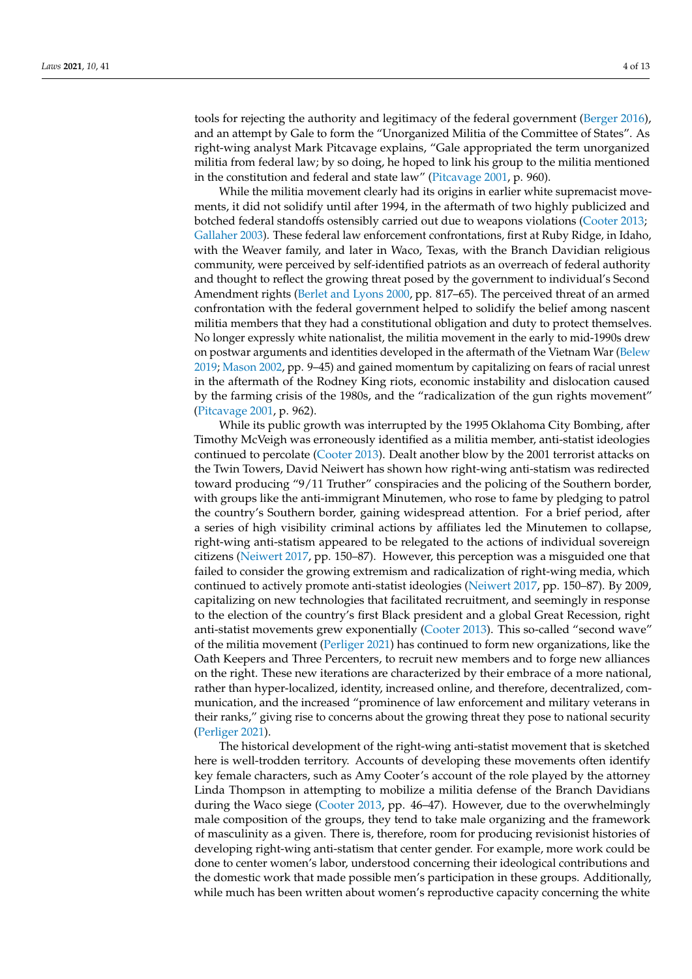tools for rejecting the authority and legitimacy of the federal government [\(Berger](#page-11-15) [2016\)](#page-11-15), and an attempt by Gale to form the "Unorganized Militia of the Committee of States". As right-wing analyst Mark Pitcavage explains, "Gale appropriated the term unorganized militia from federal law; by so doing, he hoped to link his group to the militia mentioned in the constitution and federal and state law" [\(Pitcavage](#page-12-11) [2001,](#page-12-11) p. 960).

While the militia movement clearly had its origins in earlier white supremacist movements, it did not solidify until after 1994, in the aftermath of two highly publicized and botched federal standoffs ostensibly carried out due to weapons violations [\(Cooter](#page-11-11) [2013;](#page-11-11) [Gallaher](#page-11-10) [2003\)](#page-11-10). These federal law enforcement confrontations, first at Ruby Ridge, in Idaho, with the Weaver family, and later in Waco, Texas, with the Branch Davidian religious community, were perceived by self-identified patriots as an overreach of federal authority and thought to reflect the growing threat posed by the government to individual's Second Amendment rights [\(Berlet and Lyons](#page-11-19) [2000,](#page-11-19) pp. 817–65). The perceived threat of an armed confrontation with the federal government helped to solidify the belief among nascent militia members that they had a constitutional obligation and duty to protect themselves. No longer expressly white nationalist, the militia movement in the early to mid-1990s drew on postwar arguments and identities developed in the aftermath of the Vietnam War [\(Belew](#page-11-4) [2019;](#page-11-4) [Mason](#page-12-13) [2002,](#page-12-13) pp. 9–45) and gained momentum by capitalizing on fears of racial unrest in the aftermath of the Rodney King riots, economic instability and dislocation caused by the farming crisis of the 1980s, and the "radicalization of the gun rights movement" [\(Pitcavage](#page-12-11) [2001,](#page-12-11) p. 962).

While its public growth was interrupted by the 1995 Oklahoma City Bombing, after Timothy McVeigh was erroneously identified as a militia member, anti-statist ideologies continued to percolate [\(Cooter](#page-11-11) [2013\)](#page-11-11). Dealt another blow by the 2001 terrorist attacks on the Twin Towers, David Neiwert has shown how right-wing anti-statism was redirected toward producing "9/11 Truther" conspiracies and the policing of the Southern border, with groups like the anti-immigrant Minutemen, who rose to fame by pledging to patrol the country's Southern border, gaining widespread attention. For a brief period, after a series of high visibility criminal actions by affiliates led the Minutemen to collapse, right-wing anti-statism appeared to be relegated to the actions of individual sovereign citizens [\(Neiwert](#page-12-3) [2017,](#page-12-3) pp. 150–87). However, this perception was a misguided one that failed to consider the growing extremism and radicalization of right-wing media, which continued to actively promote anti-statist ideologies [\(Neiwert](#page-12-3) [2017,](#page-12-3) pp. 150–87). By 2009, capitalizing on new technologies that facilitated recruitment, and seemingly in response to the election of the country's first Black president and a global Great Recession, right anti-statist movements grew exponentially [\(Cooter](#page-11-11) [2013\)](#page-11-11). This so-called "second wave" of the militia movement [\(Perliger](#page-12-12) [2021\)](#page-12-12) has continued to form new organizations, like the Oath Keepers and Three Percenters, to recruit new members and to forge new alliances on the right. These new iterations are characterized by their embrace of a more national, rather than hyper-localized, identity, increased online, and therefore, decentralized, communication, and the increased "prominence of law enforcement and military veterans in their ranks," giving rise to concerns about the growing threat they pose to national security [\(Perliger](#page-12-12) [2021\)](#page-12-12).

The historical development of the right-wing anti-statist movement that is sketched here is well-trodden territory. Accounts of developing these movements often identify key female characters, such as Amy Cooter's account of the role played by the attorney Linda Thompson in attempting to mobilize a militia defense of the Branch Davidians during the Waco siege [\(Cooter](#page-11-11) [2013,](#page-11-11) pp. 46–47). However, due to the overwhelmingly male composition of the groups, they tend to take male organizing and the framework of masculinity as a given. There is, therefore, room for producing revisionist histories of developing right-wing anti-statism that center gender. For example, more work could be done to center women's labor, understood concerning their ideological contributions and the domestic work that made possible men's participation in these groups. Additionally, while much has been written about women's reproductive capacity concerning the white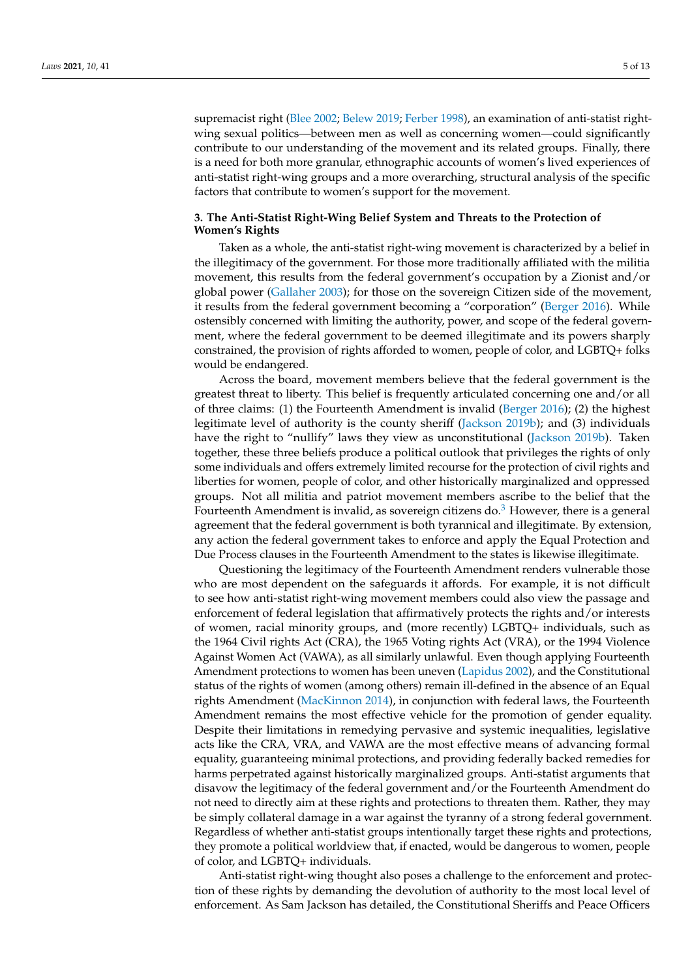supremacist right [\(Blee](#page-11-7) [2002;](#page-11-7) [Belew](#page-11-4) [2019;](#page-11-4) [Ferber](#page-11-9) [1998\)](#page-11-9), an examination of anti-statist rightwing sexual politics—between men as well as concerning women—could significantly contribute to our understanding of the movement and its related groups. Finally, there is a need for both more granular, ethnographic accounts of women's lived experiences of anti-statist right-wing groups and a more overarching, structural analysis of the specific factors that contribute to women's support for the movement.

## **3. The Anti-Statist Right-Wing Belief System and Threats to the Protection of Women's Rights**

Taken as a whole, the anti-statist right-wing movement is characterized by a belief in the illegitimacy of the government. For those more traditionally affiliated with the militia movement, this results from the federal government's occupation by a Zionist and/or global power [\(Gallaher](#page-11-10) [2003\)](#page-11-10); for those on the sovereign Citizen side of the movement, it results from the federal government becoming a "corporation" [\(Berger](#page-11-15) [2016\)](#page-11-15). While ostensibly concerned with limiting the authority, power, and scope of the federal government, where the federal government to be deemed illegitimate and its powers sharply constrained, the provision of rights afforded to women, people of color, and LGBTQ+ folks would be endangered.

Across the board, movement members believe that the federal government is the greatest threat to liberty. This belief is frequently articulated concerning one and/or all of three claims: (1) the Fourteenth Amendment is invalid [\(Berger](#page-11-15) [2016\)](#page-11-15); (2) the highest legitimate level of authority is the county sheriff [\(Jackson](#page-11-20) [2019b\)](#page-11-20); and (3) individuals have the right to "nullify" laws they view as unconstitutional [\(Jackson](#page-11-20) [2019b\)](#page-11-20). Taken together, these three beliefs produce a political outlook that privileges the rights of only some individuals and offers extremely limited recourse for the protection of civil rights and liberties for women, people of color, and other historically marginalized and oppressed groups. Not all militia and patriot movement members ascribe to the belief that the Fourteenth Amendment is invalid, as sovereign citizens do. $3$  However, there is a general agreement that the federal government is both tyrannical and illegitimate. By extension, any action the federal government takes to enforce and apply the Equal Protection and Due Process clauses in the Fourteenth Amendment to the states is likewise illegitimate.

Questioning the legitimacy of the Fourteenth Amendment renders vulnerable those who are most dependent on the safeguards it affords. For example, it is not difficult to see how anti-statist right-wing movement members could also view the passage and enforcement of federal legislation that affirmatively protects the rights and/or interests of women, racial minority groups, and (more recently) LGBTQ+ individuals, such as the 1964 Civil rights Act (CRA), the 1965 Voting rights Act (VRA), or the 1994 Violence Against Women Act (VAWA), as all similarly unlawful. Even though applying Fourteenth Amendment protections to women has been uneven [\(Lapidus](#page-12-14) [2002\)](#page-12-14), and the Constitutional status of the rights of women (among others) remain ill-defined in the absence of an Equal rights Amendment [\(MacKinnon](#page-12-15) [2014\)](#page-12-15), in conjunction with federal laws, the Fourteenth Amendment remains the most effective vehicle for the promotion of gender equality. Despite their limitations in remedying pervasive and systemic inequalities, legislative acts like the CRA, VRA, and VAWA are the most effective means of advancing formal equality, guaranteeing minimal protections, and providing federally backed remedies for harms perpetrated against historically marginalized groups. Anti-statist arguments that disavow the legitimacy of the federal government and/or the Fourteenth Amendment do not need to directly aim at these rights and protections to threaten them. Rather, they may be simply collateral damage in a war against the tyranny of a strong federal government. Regardless of whether anti-statist groups intentionally target these rights and protections, they promote a political worldview that, if enacted, would be dangerous to women, people of color, and LGBTQ+ individuals.

Anti-statist right-wing thought also poses a challenge to the enforcement and protection of these rights by demanding the devolution of authority to the most local level of enforcement. As Sam Jackson has detailed, the Constitutional Sheriffs and Peace Officers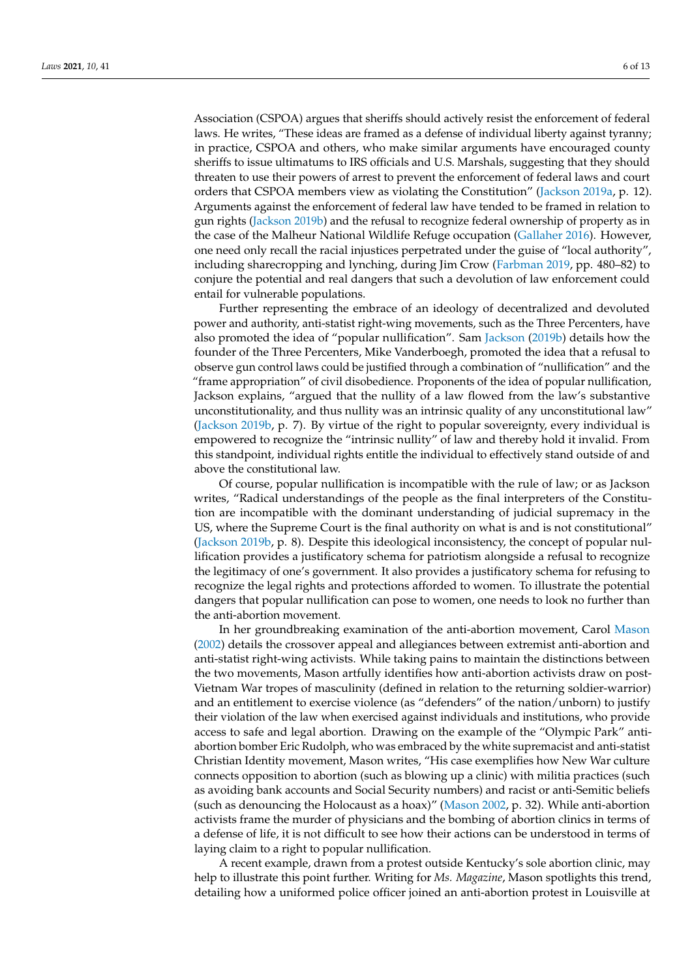Association (CSPOA) argues that sheriffs should actively resist the enforcement of federal laws. He writes, "These ideas are framed as a defense of individual liberty against tyranny; in practice, CSPOA and others, who make similar arguments have encouraged county sheriffs to issue ultimatums to IRS officials and U.S. Marshals, suggesting that they should threaten to use their powers of arrest to prevent the enforcement of federal laws and court orders that CSPOA members view as violating the Constitution" [\(Jackson](#page-11-14) [2019a,](#page-11-14) p. 12). Arguments against the enforcement of federal law have tended to be framed in relation to gun rights [\(Jackson](#page-11-20) [2019b\)](#page-11-20) and the refusal to recognize federal ownership of property as in the case of the Malheur National Wildlife Refuge occupation [\(Gallaher](#page-11-16) [2016\)](#page-11-16). However, one need only recall the racial injustices perpetrated under the guise of "local authority", including sharecropping and lynching, during Jim Crow [\(Farbman](#page-11-21) [2019,](#page-11-21) pp. 480–82) to conjure the potential and real dangers that such a devolution of law enforcement could entail for vulnerable populations.

Further representing the embrace of an ideology of decentralized and devoluted power and authority, anti-statist right-wing movements, such as the Three Percenters, have also promoted the idea of "popular nullification". Sam [Jackson](#page-11-20) [\(2019b\)](#page-11-20) details how the founder of the Three Percenters, Mike Vanderboegh, promoted the idea that a refusal to observe gun control laws could be justified through a combination of "nullification" and the "frame appropriation" of civil disobedience. Proponents of the idea of popular nullification, Jackson explains, "argued that the nullity of a law flowed from the law's substantive unconstitutionality, and thus nullity was an intrinsic quality of any unconstitutional law" [\(Jackson](#page-11-20) [2019b,](#page-11-20) p. 7). By virtue of the right to popular sovereignty, every individual is empowered to recognize the "intrinsic nullity" of law and thereby hold it invalid. From this standpoint, individual rights entitle the individual to effectively stand outside of and above the constitutional law.

Of course, popular nullification is incompatible with the rule of law; or as Jackson writes, "Radical understandings of the people as the final interpreters of the Constitution are incompatible with the dominant understanding of judicial supremacy in the US, where the Supreme Court is the final authority on what is and is not constitutional" [\(Jackson](#page-11-20) [2019b,](#page-11-20) p. 8). Despite this ideological inconsistency, the concept of popular nullification provides a justificatory schema for patriotism alongside a refusal to recognize the legitimacy of one's government. It also provides a justificatory schema for refusing to recognize the legal rights and protections afforded to women. To illustrate the potential dangers that popular nullification can pose to women, one needs to look no further than the anti-abortion movement.

In her groundbreaking examination of the anti-abortion movement, Carol [Mason](#page-12-13) [\(2002\)](#page-12-13) details the crossover appeal and allegiances between extremist anti-abortion and anti-statist right-wing activists. While taking pains to maintain the distinctions between the two movements, Mason artfully identifies how anti-abortion activists draw on post-Vietnam War tropes of masculinity (defined in relation to the returning soldier-warrior) and an entitlement to exercise violence (as "defenders" of the nation/unborn) to justify their violation of the law when exercised against individuals and institutions, who provide access to safe and legal abortion. Drawing on the example of the "Olympic Park" antiabortion bomber Eric Rudolph, who was embraced by the white supremacist and anti-statist Christian Identity movement, Mason writes, "His case exemplifies how New War culture connects opposition to abortion (such as blowing up a clinic) with militia practices (such as avoiding bank accounts and Social Security numbers) and racist or anti-Semitic beliefs (such as denouncing the Holocaust as a hoax)" [\(Mason](#page-12-13) [2002,](#page-12-13) p. 32). While anti-abortion activists frame the murder of physicians and the bombing of abortion clinics in terms of a defense of life, it is not difficult to see how their actions can be understood in terms of laying claim to a right to popular nullification.

A recent example, drawn from a protest outside Kentucky's sole abortion clinic, may help to illustrate this point further. Writing for *Ms. Magazine*, Mason spotlights this trend, detailing how a uniformed police officer joined an anti-abortion protest in Louisville at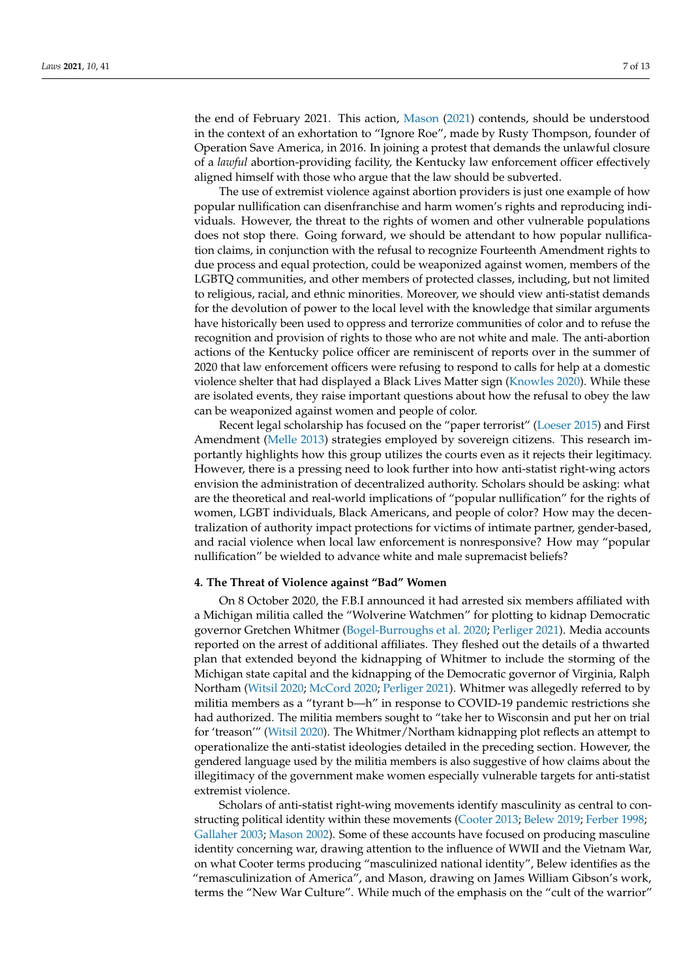the end of February 2021. This action, [Mason](#page-12-16) [\(2021\)](#page-12-16) contends, should be understood in the context of an exhortation to "Ignore Roe", made by Rusty Thompson, founder of Operation Save America, in 2016. In joining a protest that demands the unlawful closure of a *lawful* abortion-providing facility, the Kentucky law enforcement officer effectively aligned himself with those who argue that the law should be subverted.

The use of extremist violence against abortion providers is just one example of how popular nullification can disenfranchise and harm women's rights and reproducing individuals. However, the threat to the rights of women and other vulnerable populations does not stop there. Going forward, we should be attendant to how popular nullification claims, in conjunction with the refusal to recognize Fourteenth Amendment rights to due process and equal protection, could be weaponized against women, members of the LGBTQ communities, and other members of protected classes, including, but not limited to religious, racial, and ethnic minorities. Moreover, we should view anti-statist demands for the devolution of power to the local level with the knowledge that similar arguments have historically been used to oppress and terrorize communities of color and to refuse the recognition and provision of rights to those who are not white and male. The anti-abortion actions of the Kentucky police officer are reminiscent of reports over in the summer of 2020 that law enforcement officers were refusing to respond to calls for help at a domestic violence shelter that had displayed a Black Lives Matter sign [\(Knowles](#page-12-17) [2020\)](#page-12-17). While these are isolated events, they raise important questions about how the refusal to obey the law can be weaponized against women and people of color.

Recent legal scholarship has focused on the "paper terrorist" [\(Loeser](#page-12-18) [2015\)](#page-12-18) and First Amendment [\(Melle](#page-12-19) [2013\)](#page-12-19) strategies employed by sovereign citizens. This research importantly highlights how this group utilizes the courts even as it rejects their legitimacy. However, there is a pressing need to look further into how anti-statist right-wing actors envision the administration of decentralized authority. Scholars should be asking: what are the theoretical and real-world implications of "popular nullification" for the rights of women, LGBT individuals, Black Americans, and people of color? How may the decentralization of authority impact protections for victims of intimate partner, gender-based, and racial violence when local law enforcement is nonresponsive? How may "popular nullification" be wielded to advance white and male supremacist beliefs?

#### **4. The Threat of Violence against "Bad" Women**

On 8 October 2020, the F.B.I announced it had arrested six members affiliated with a Michigan militia called the "Wolverine Watchmen" for plotting to kidnap Democratic governor Gretchen Whitmer [\(Bogel-Burroughs et al.](#page-11-22) [2020;](#page-11-22) [Perliger](#page-12-12) [2021\)](#page-12-12). Media accounts reported on the arrest of additional affiliates. They fleshed out the details of a thwarted plan that extended beyond the kidnapping of Whitmer to include the storming of the Michigan state capital and the kidnapping of the Democratic governor of Virginia, Ralph Northam [\(Witsil](#page-12-0) [2020;](#page-12-0) [McCord](#page-12-20) [2020;](#page-12-20) [Perliger](#page-12-12) [2021\)](#page-12-12). Whitmer was allegedly referred to by militia members as a "tyrant b—h" in response to COVID-19 pandemic restrictions she had authorized. The militia members sought to "take her to Wisconsin and put her on trial for 'treason'" [\(Witsil](#page-12-0) [2020\)](#page-12-0). The Whitmer/Northam kidnapping plot reflects an attempt to operationalize the anti-statist ideologies detailed in the preceding section. However, the gendered language used by the militia members is also suggestive of how claims about the illegitimacy of the government make women especially vulnerable targets for anti-statist extremist violence.

Scholars of anti-statist right-wing movements identify masculinity as central to constructing political identity within these movements [\(Cooter](#page-11-11) [2013;](#page-11-11) [Belew](#page-11-4) [2019;](#page-11-4) [Ferber](#page-11-9) [1998;](#page-11-9) [Gallaher](#page-11-10) [2003;](#page-11-10) [Mason](#page-12-13) [2002\)](#page-12-13). Some of these accounts have focused on producing masculine identity concerning war, drawing attention to the influence of WWII and the Vietnam War, on what Cooter terms producing "masculinized national identity", Belew identifies as the "remasculinization of America", and Mason, drawing on James William Gibson's work, terms the "New War Culture". While much of the emphasis on the "cult of the warrior"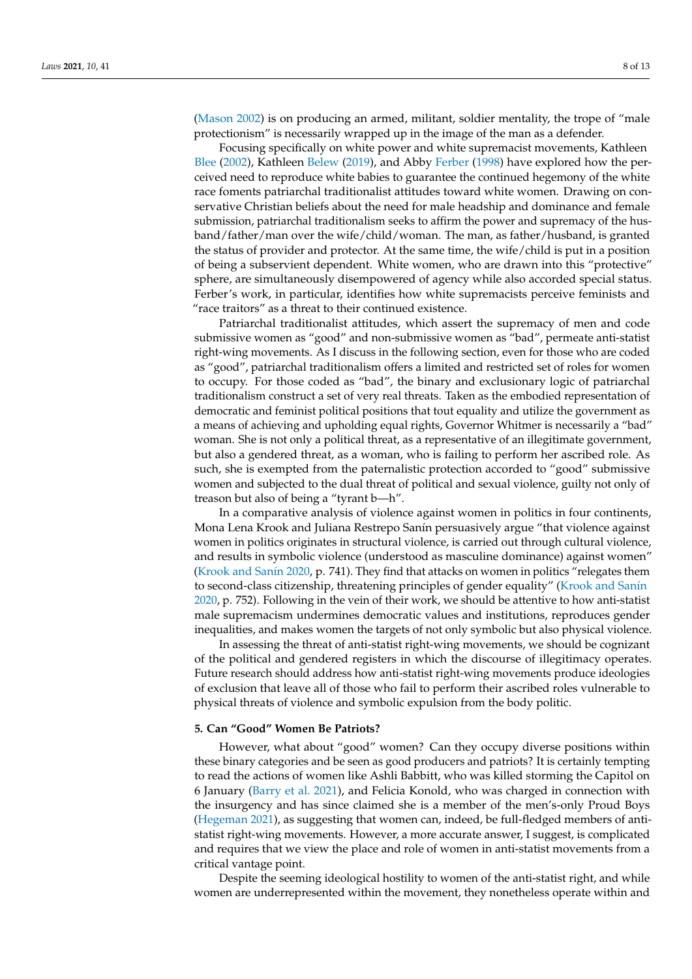[\(Mason](#page-12-13) [2002\)](#page-12-13) is on producing an armed, militant, soldier mentality, the trope of "male protectionism" is necessarily wrapped up in the image of the man as a defender.

Focusing specifically on white power and white supremacist movements, Kathleen [Blee](#page-11-7) [\(2002\)](#page-11-7), Kathleen [Belew](#page-11-4) [\(2019\)](#page-11-4), and Abby [Ferber](#page-11-9) [\(1998\)](#page-11-9) have explored how the perceived need to reproduce white babies to guarantee the continued hegemony of the white race foments patriarchal traditionalist attitudes toward white women. Drawing on conservative Christian beliefs about the need for male headship and dominance and female submission, patriarchal traditionalism seeks to affirm the power and supremacy of the husband/father/man over the wife/child/woman. The man, as father/husband, is granted the status of provider and protector. At the same time, the wife/child is put in a position of being a subservient dependent. White women, who are drawn into this "protective" sphere, are simultaneously disempowered of agency while also accorded special status. Ferber's work, in particular, identifies how white supremacists perceive feminists and "race traitors" as a threat to their continued existence.

Patriarchal traditionalist attitudes, which assert the supremacy of men and code submissive women as "good" and non-submissive women as "bad", permeate anti-statist right-wing movements. As I discuss in the following section, even for those who are coded as "good", patriarchal traditionalism offers a limited and restricted set of roles for women to occupy. For those coded as "bad", the binary and exclusionary logic of patriarchal traditionalism construct a set of very real threats. Taken as the embodied representation of democratic and feminist political positions that tout equality and utilize the government as a means of achieving and upholding equal rights, Governor Whitmer is necessarily a "bad" woman. She is not only a political threat, as a representative of an illegitimate government, but also a gendered threat, as a woman, who is failing to perform her ascribed role. As such, she is exempted from the paternalistic protection accorded to "good" submissive women and subjected to the dual threat of political and sexual violence, guilty not only of treason but also of being a "tyrant b—h".

In a comparative analysis of violence against women in politics in four continents, Mona Lena Krook and Juliana Restrepo Sanín persuasively argue "that violence against women in politics originates in structural violence, is carried out through cultural violence, and results in symbolic violence (understood as masculine dominance) against women" [\(Krook and San](#page-12-21)ín [2020,](#page-12-21) p. 741). They find that attacks on women in politics "relegates them to second-class citizenship, threatening principles of gender equality" [\(Krook and San](#page-12-21)ín [2020,](#page-12-21) p. 752). Following in the vein of their work, we should be attentive to how anti-statist male supremacism undermines democratic values and institutions, reproduces gender inequalities, and makes women the targets of not only symbolic but also physical violence.

In assessing the threat of anti-statist right-wing movements, we should be cognizant of the political and gendered registers in which the discourse of illegitimacy operates. Future research should address how anti-statist right-wing movements produce ideologies of exclusion that leave all of those who fail to perform their ascribed roles vulnerable to physical threats of violence and symbolic expulsion from the body politic.

#### **5. Can "Good" Women Be Patriots?**

However, what about "good" women? Can they occupy diverse positions within these binary categories and be seen as good producers and patriots? It is certainly tempting to read the actions of women like Ashli Babbitt, who was killed storming the Capitol on 6 January [\(Barry et al.](#page-11-0) [2021\)](#page-11-0), and Felicia Konold, who was charged in connection with the insurgency and has since claimed she is a member of the men's-only Proud Boys [\(Hegeman](#page-11-23) [2021\)](#page-11-23), as suggesting that women can, indeed, be full-fledged members of antistatist right-wing movements. However, a more accurate answer, I suggest, is complicated and requires that we view the place and role of women in anti-statist movements from a critical vantage point.

Despite the seeming ideological hostility to women of the anti-statist right, and while women are underrepresented within the movement, they nonetheless operate within and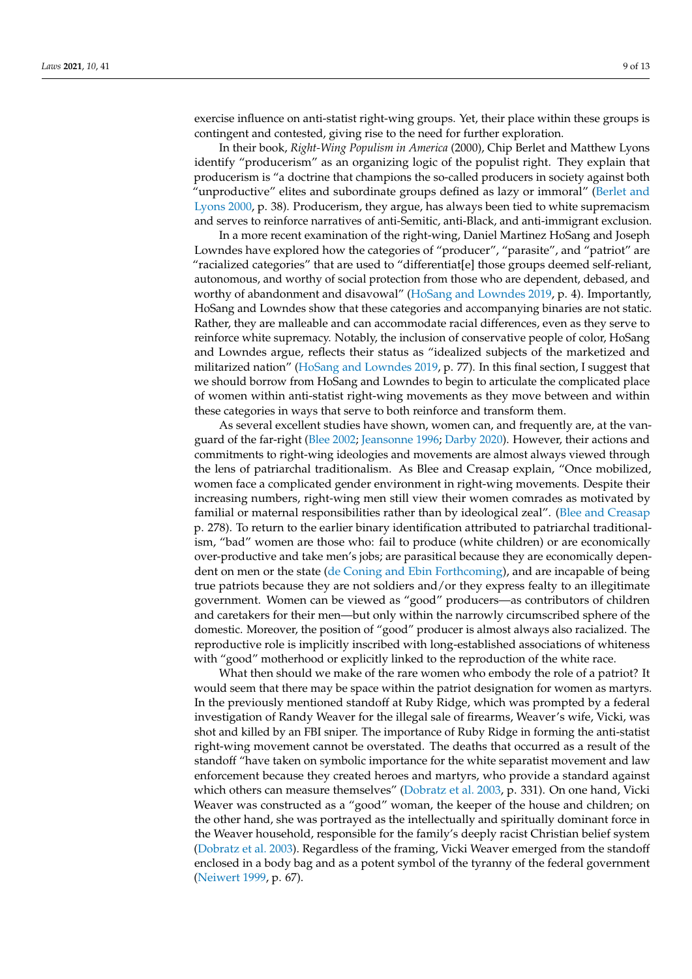exercise influence on anti-statist right-wing groups. Yet, their place within these groups is contingent and contested, giving rise to the need for further exploration.

In their book, *Right-Wing Populism in America* (2000), Chip Berlet and Matthew Lyons identify "producerism" as an organizing logic of the populist right. They explain that producerism is "a doctrine that champions the so-called producers in society against both "unproductive" elites and subordinate groups defined as lazy or immoral" [\(Berlet and](#page-11-19) [Lyons](#page-11-19) [2000,](#page-11-19) p. 38). Producerism, they argue, has always been tied to white supremacism and serves to reinforce narratives of anti-Semitic, anti-Black, and anti-immigrant exclusion.

In a more recent examination of the right-wing, Daniel Martinez HoSang and Joseph Lowndes have explored how the categories of "producer", "parasite", and "patriot" are "racialized categories" that are used to "differentiat[e] those groups deemed self-reliant, autonomous, and worthy of social protection from those who are dependent, debased, and worthy of abandonment and disavowal" [\(HoSang and Lowndes](#page-11-24) [2019,](#page-11-24) p. 4). Importantly, HoSang and Lowndes show that these categories and accompanying binaries are not static. Rather, they are malleable and can accommodate racial differences, even as they serve to reinforce white supremacy. Notably, the inclusion of conservative people of color, HoSang and Lowndes argue, reflects their status as "idealized subjects of the marketized and militarized nation" [\(HoSang and Lowndes](#page-11-24) [2019,](#page-11-24) p. 77). In this final section, I suggest that we should borrow from HoSang and Lowndes to begin to articulate the complicated place of women within anti-statist right-wing movements as they move between and within these categories in ways that serve to both reinforce and transform them.

As several excellent studies have shown, women can, and frequently are, at the vanguard of the far-right [\(Blee](#page-11-7) [2002;](#page-11-7) [Jeansonne](#page-11-6) [1996;](#page-11-6) [Darby](#page-11-8) [2020\)](#page-11-8). However, their actions and commitments to right-wing ideologies and movements are almost always viewed through the lens of patriarchal traditionalism. As Blee and Creasap explain, "Once mobilized, women face a complicated gender environment in right-wing movements. Despite their increasing numbers, right-wing men still view their women comrades as motivated by familial or maternal responsibilities rather than by ideological zeal". [\(Blee and Creasap](#page-11-13) p. 278). To return to the earlier binary identification attributed to patriarchal traditionalism, "bad" women are those who: fail to produce (white children) or are economically over-productive and take men's jobs; are parasitical because they are economically dependent on men or the state [\(de Coning and Ebin](#page-11-25) [Forthcoming\)](#page-11-25), and are incapable of being true patriots because they are not soldiers and/or they express fealty to an illegitimate government. Women can be viewed as "good" producers—as contributors of children and caretakers for their men—but only within the narrowly circumscribed sphere of the domestic. Moreover, the position of "good" producer is almost always also racialized. The reproductive role is implicitly inscribed with long-established associations of whiteness with "good" motherhood or explicitly linked to the reproduction of the white race.

What then should we make of the rare women who embody the role of a patriot? It would seem that there may be space within the patriot designation for women as martyrs. In the previously mentioned standoff at Ruby Ridge, which was prompted by a federal investigation of Randy Weaver for the illegal sale of firearms, Weaver's wife, Vicki, was shot and killed by an FBI sniper. The importance of Ruby Ridge in forming the anti-statist right-wing movement cannot be overstated. The deaths that occurred as a result of the standoff "have taken on symbolic importance for the white separatist movement and law enforcement because they created heroes and martyrs, who provide a standard against which others can measure themselves" [\(Dobratz et al.](#page-11-26) [2003,](#page-11-26) p. 331). On one hand, Vicki Weaver was constructed as a "good" woman, the keeper of the house and children; on the other hand, she was portrayed as the intellectually and spiritually dominant force in the Weaver household, responsible for the family's deeply racist Christian belief system [\(Dobratz et al.](#page-11-26) [2003\)](#page-11-26). Regardless of the framing, Vicki Weaver emerged from the standoff enclosed in a body bag and as a potent symbol of the tyranny of the federal government [\(Neiwert](#page-12-22) [1999,](#page-12-22) p. 67).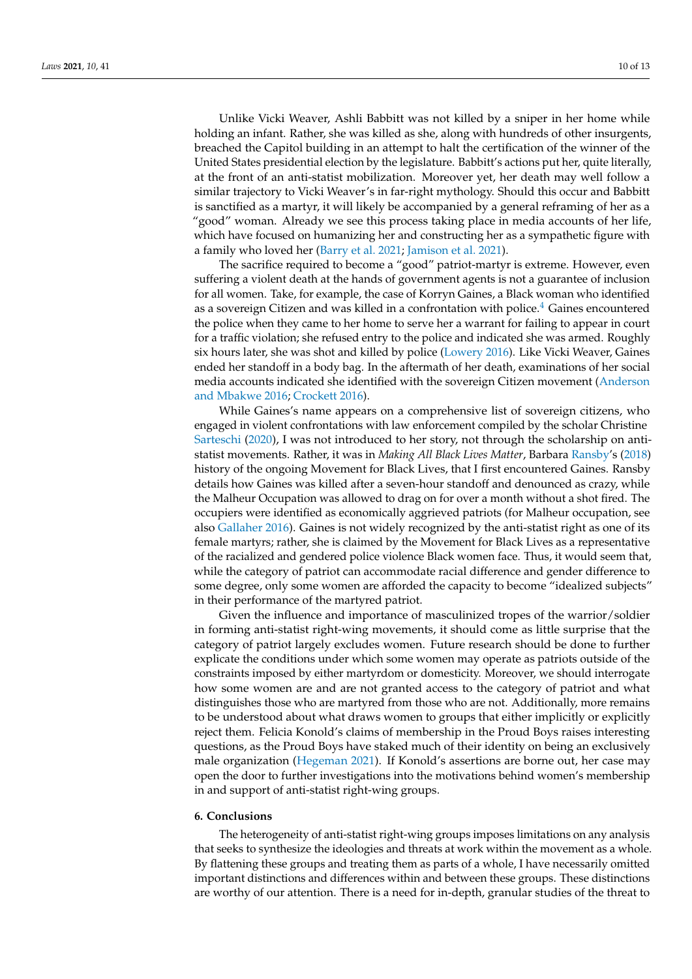Unlike Vicki Weaver, Ashli Babbitt was not killed by a sniper in her home while holding an infant. Rather, she was killed as she, along with hundreds of other insurgents, breached the Capitol building in an attempt to halt the certification of the winner of the United States presidential election by the legislature. Babbitt's actions put her, quite literally, at the front of an anti-statist mobilization. Moreover yet, her death may well follow a similar trajectory to Vicki Weaver's in far-right mythology. Should this occur and Babbitt is sanctified as a martyr, it will likely be accompanied by a general reframing of her as a "good" woman. Already we see this process taking place in media accounts of her life, which have focused on humanizing her and constructing her as a sympathetic figure with a family who loved her [\(Barry et al.](#page-11-0) [2021;](#page-11-0) [Jamison et al.](#page-11-27) [2021\)](#page-11-27).

The sacrifice required to become a "good" patriot-martyr is extreme. However, even suffering a violent death at the hands of government agents is not a guarantee of inclusion for all women. Take, for example, the case of Korryn Gaines, a Black woman who identified as a sovereign Citizen and was killed in a confrontation with police.<sup>[4](#page-10-3)</sup> Gaines encountered the police when they came to her home to serve her a warrant for failing to appear in court for a traffic violation; she refused entry to the police and indicated she was armed. Roughly six hours later, she was shot and killed by police [\(Lowery](#page-12-23) [2016\)](#page-12-23). Like Vicki Weaver, Gaines ended her standoff in a body bag. In the aftermath of her death, examinations of her social media accounts indicated she identified with the sovereign Citizen movement [\(Anderson](#page-11-28) [and Mbakwe](#page-11-28) [2016;](#page-11-28) [Crockett](#page-11-29) [2016\)](#page-11-29).

While Gaines's name appears on a comprehensive list of sovereign citizens, who engaged in violent confrontations with law enforcement compiled by the scholar Christine [Sarteschi](#page-12-10) [\(2020\)](#page-12-10), I was not introduced to her story, not through the scholarship on antistatist movements. Rather, it was in *Making All Black Lives Matter*, Barbara [Ransby'](#page-12-24)s [\(2018\)](#page-12-24) history of the ongoing Movement for Black Lives, that I first encountered Gaines. Ransby details how Gaines was killed after a seven-hour standoff and denounced as crazy, while the Malheur Occupation was allowed to drag on for over a month without a shot fired. The occupiers were identified as economically aggrieved patriots (for Malheur occupation, see also [Gallaher](#page-11-16) [2016\)](#page-11-16). Gaines is not widely recognized by the anti-statist right as one of its female martyrs; rather, she is claimed by the Movement for Black Lives as a representative of the racialized and gendered police violence Black women face. Thus, it would seem that, while the category of patriot can accommodate racial difference and gender difference to some degree, only some women are afforded the capacity to become "idealized subjects" in their performance of the martyred patriot.

Given the influence and importance of masculinized tropes of the warrior/soldier in forming anti-statist right-wing movements, it should come as little surprise that the category of patriot largely excludes women. Future research should be done to further explicate the conditions under which some women may operate as patriots outside of the constraints imposed by either martyrdom or domesticity. Moreover, we should interrogate how some women are and are not granted access to the category of patriot and what distinguishes those who are martyred from those who are not. Additionally, more remains to be understood about what draws women to groups that either implicitly or explicitly reject them. Felicia Konold's claims of membership in the Proud Boys raises interesting questions, as the Proud Boys have staked much of their identity on being an exclusively male organization [\(Hegeman](#page-11-23) [2021\)](#page-11-23). If Konold's assertions are borne out, her case may open the door to further investigations into the motivations behind women's membership in and support of anti-statist right-wing groups.

#### **6. Conclusions**

The heterogeneity of anti-statist right-wing groups imposes limitations on any analysis that seeks to synthesize the ideologies and threats at work within the movement as a whole. By flattening these groups and treating them as parts of a whole, I have necessarily omitted important distinctions and differences within and between these groups. These distinctions are worthy of our attention. There is a need for in-depth, granular studies of the threat to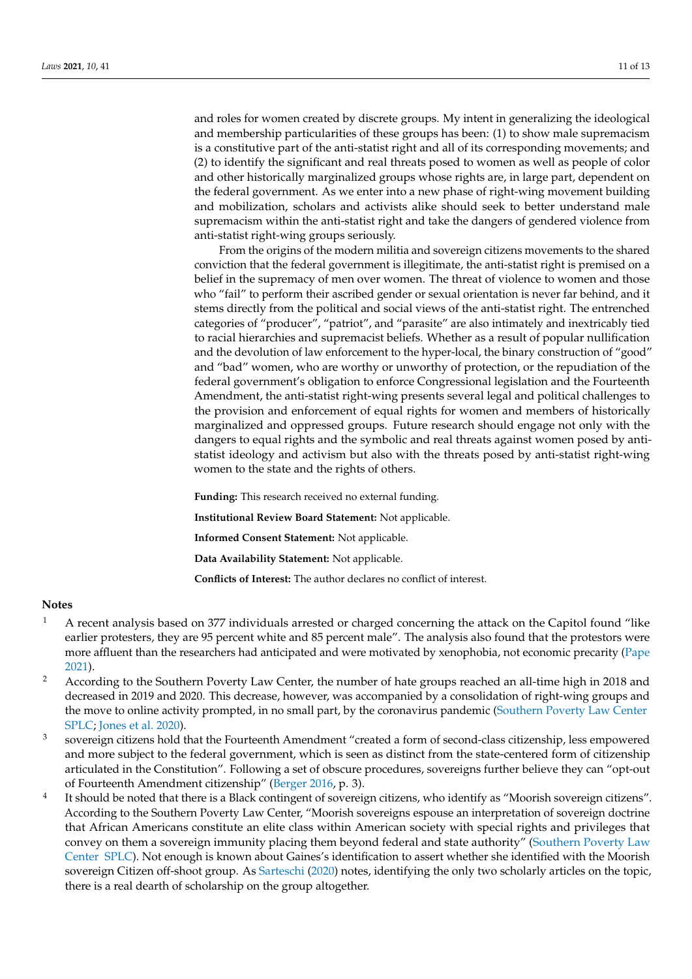and roles for women created by discrete groups. My intent in generalizing the ideological and membership particularities of these groups has been: (1) to show male supremacism is a constitutive part of the anti-statist right and all of its corresponding movements; and (2) to identify the significant and real threats posed to women as well as people of color and other historically marginalized groups whose rights are, in large part, dependent on the federal government. As we enter into a new phase of right-wing movement building and mobilization, scholars and activists alike should seek to better understand male supremacism within the anti-statist right and take the dangers of gendered violence from anti-statist right-wing groups seriously.

From the origins of the modern militia and sovereign citizens movements to the shared conviction that the federal government is illegitimate, the anti-statist right is premised on a belief in the supremacy of men over women. The threat of violence to women and those who "fail" to perform their ascribed gender or sexual orientation is never far behind, and it stems directly from the political and social views of the anti-statist right. The entrenched categories of "producer", "patriot", and "parasite" are also intimately and inextricably tied to racial hierarchies and supremacist beliefs. Whether as a result of popular nullification and the devolution of law enforcement to the hyper-local, the binary construction of "good" and "bad" women, who are worthy or unworthy of protection, or the repudiation of the federal government's obligation to enforce Congressional legislation and the Fourteenth Amendment, the anti-statist right-wing presents several legal and political challenges to the provision and enforcement of equal rights for women and members of historically marginalized and oppressed groups. Future research should engage not only with the dangers to equal rights and the symbolic and real threats against women posed by antistatist ideology and activism but also with the threats posed by anti-statist right-wing women to the state and the rights of others.

**Funding:** This research received no external funding.

**Institutional Review Board Statement:** Not applicable.

**Informed Consent Statement:** Not applicable.

**Data Availability Statement:** Not applicable.

**Conflicts of Interest:** The author declares no conflict of interest.

# **Notes**

- <span id="page-10-0"></span><sup>1</sup> A recent analysis based on 377 individuals arrested or charged concerning the attack on the Capitol found "like earlier protesters, they are 95 percent white and 85 percent male". The analysis also found that the protestors were more affluent than the researchers had anticipated and were motivated by xenophobia, not economic precarity [\(Pape](#page-12-1) [2021\)](#page-12-1).
- <span id="page-10-1"></span><sup>2</sup> According to the Southern Poverty Law Center, the number of hate groups reached an all-time high in 2018 and decreased in 2019 and 2020. This decrease, however, was accompanied by a consolidation of right-wing groups and the move to online activity prompted, in no small part, by the coronavirus pandemic [\(Southern Poverty Law Center](#page-12-25) [SPLC;](#page-12-25) [Jones et al.](#page-12-5) [2020\)](#page-12-5).
- <span id="page-10-2"></span>3 sovereign citizens hold that the Fourteenth Amendment "created a form of second-class citizenship, less empowered and more subject to the federal government, which is seen as distinct from the state-centered form of citizenship articulated in the Constitution". Following a set of obscure procedures, sovereigns further believe they can "opt-out of Fourteenth Amendment citizenship" [\(Berger](#page-11-15) [2016,](#page-11-15) p. 3).
- <span id="page-10-3"></span>4 It should be noted that there is a Black contingent of sovereign citizens, who identify as "Moorish sovereign citizens". According to the Southern Poverty Law Center, "Moorish sovereigns espouse an interpretation of sovereign doctrine that African Americans constitute an elite class within American society with special rights and privileges that convey on them a sovereign immunity placing them beyond federal and state authority" [\(Southern Poverty Law](#page-12-26) [Center](#page-12-26) [SPLC\)](#page-12-26). Not enough is known about Gaines's identification to assert whether she identified with the Moorish sovereign Citizen off-shoot group. As [Sarteschi](#page-12-10) [\(2020\)](#page-12-10) notes, identifying the only two scholarly articles on the topic, there is a real dearth of scholarship on the group altogether.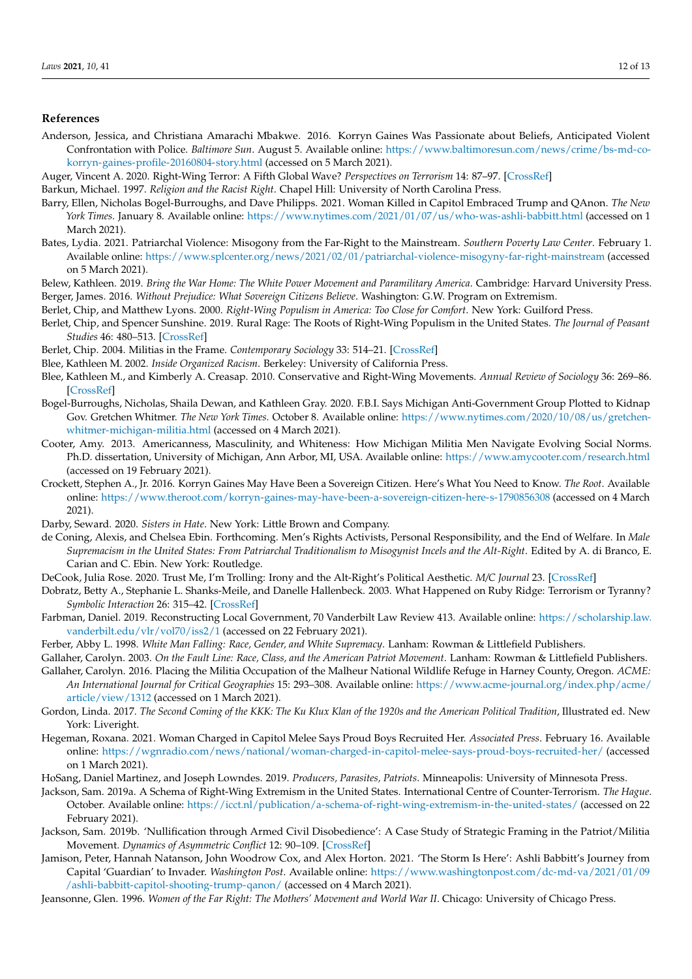## **References**

- <span id="page-11-28"></span>Anderson, Jessica, and Christiana Amarachi Mbakwe. 2016. Korryn Gaines Was Passionate about Beliefs, Anticipated Violent Confrontation with Police. *Baltimore Sun*. August 5. Available online: [https://www.baltimoresun.com/news/crime/bs-md-co](https://www.baltimoresun.com/news/crime/bs-md-co-korryn-gaines-profile-20160804-story.html)[korryn-gaines-profile-20160804-story.html](https://www.baltimoresun.com/news/crime/bs-md-co-korryn-gaines-profile-20160804-story.html) (accessed on 5 March 2021).
- <span id="page-11-2"></span>Auger, Vincent A. 2020. Right-Wing Terror: A Fifth Global Wave? *Perspectives on Terrorism* 14: 87–97. [\[CrossRef\]](http://doi.org/10.2307/26918302)
- <span id="page-11-17"></span>Barkun, Michael. 1997. *Religion and the Racist Right*. Chapel Hill: University of North Carolina Press.
- <span id="page-11-0"></span>Barry, Ellen, Nicholas Bogel-Burroughs, and Dave Philipps. 2021. Woman Killed in Capitol Embraced Trump and QAnon. *The New York Times*. January 8. Available online: <https://www.nytimes.com/2021/01/07/us/who-was-ashli-babbitt.html> (accessed on 1 March 2021).
- <span id="page-11-1"></span>Bates, Lydia. 2021. Patriarchal Violence: Misogony from the Far-Right to the Mainstream. *Southern Poverty Law Center*. February 1. Available online: <https://www.splcenter.org/news/2021/02/01/patriarchal-violence-misogyny-far-right-mainstream> (accessed on 5 March 2021).
- <span id="page-11-15"></span><span id="page-11-4"></span>Belew, Kathleen. 2019. *Bring the War Home: The White Power Movement and Paramilitary America*. Cambridge: Harvard University Press. Berger, James. 2016. *Without Prejudice: What Sovereign Citizens Believe*. Washington: G.W. Program on Extremism.
- <span id="page-11-19"></span>Berlet, Chip, and Matthew Lyons. 2000. *Right-Wing Populism in America: Too Close for Comfort*. New York: Guilford Press.
- <span id="page-11-18"></span>Berlet, Chip, and Spencer Sunshine. 2019. Rural Rage: The Roots of Right-Wing Populism in the United States. *The Journal of Peasant Studies* 46: 480–513. [\[CrossRef\]](http://doi.org/10.1080/03066150.2019.1572603)
- <span id="page-11-12"></span>Berlet, Chip. 2004. Militias in the Frame. *Contemporary Sociology* 33: 514–21. [\[CrossRef\]](http://doi.org/10.1177/009430610403300506)
- <span id="page-11-7"></span>Blee, Kathleen M. 2002. *Inside Organized Racism*. Berkeley: University of California Press.
- <span id="page-11-13"></span>Blee, Kathleen M., and Kimberly A. Creasap. 2010. Conservative and Right-Wing Movements. *Annual Review of Sociology* 36: 269–86. [\[CrossRef\]](http://doi.org/10.1146/annurev.soc.012809.102602)
- <span id="page-11-22"></span>Bogel-Burroughs, Nicholas, Shaila Dewan, and Kathleen Gray. 2020. F.B.I. Says Michigan Anti-Government Group Plotted to Kidnap Gov. Gretchen Whitmer. *The New York Times*. October 8. Available online: [https://www.nytimes.com/2020/10/08/us/gretchen](https://www.nytimes.com/2020/10/08/us/gretchen-whitmer-michigan-militia.html)[whitmer-michigan-militia.html](https://www.nytimes.com/2020/10/08/us/gretchen-whitmer-michigan-militia.html) (accessed on 4 March 2021).
- <span id="page-11-11"></span>Cooter, Amy. 2013. Americanness, Masculinity, and Whiteness: How Michigan Militia Men Navigate Evolving Social Norms. Ph.D. dissertation, University of Michigan, Ann Arbor, MI, USA. Available online: <https://www.amycooter.com/research.html> (accessed on 19 February 2021).
- <span id="page-11-29"></span>Crockett, Stephen A., Jr. 2016. Korryn Gaines May Have Been a Sovereign Citizen. Here's What You Need to Know. *The Root*. Available online: <https://www.theroot.com/korryn-gaines-may-have-been-a-sovereign-citizen-here-s-1790856308> (accessed on 4 March 2021).
- <span id="page-11-8"></span>Darby, Seward. 2020. *Sisters in Hate*. New York: Little Brown and Company.
- <span id="page-11-25"></span>de Coning, Alexis, and Chelsea Ebin. Forthcoming. Men's Rights Activists, Personal Responsibility, and the End of Welfare. In *Male Supremacism in the United States: From Patriarchal Traditionalism to Misogynist Incels and the Alt-Right*. Edited by A. di Branco, E. Carian and C. Ebin. New York: Routledge.
- <span id="page-11-5"></span>DeCook, Julia Rose. 2020. Trust Me, I'm Trolling: Irony and the Alt-Right's Political Aesthetic. *M/C Journal* 23. [\[CrossRef\]](http://doi.org/10.5204/mcj.1655)
- <span id="page-11-26"></span>Dobratz, Betty A., Stephanie L. Shanks-Meile, and Danelle Hallenbeck. 2003. What Happened on Ruby Ridge: Terrorism or Tyranny? *Symbolic Interaction* 26: 315–42. [\[CrossRef\]](http://doi.org/10.1525/si.2003.26.2.315)
- <span id="page-11-21"></span>Farbman, Daniel. 2019. Reconstructing Local Government, 70 Vanderbilt Law Review 413. Available online: [https://scholarship.law.](https://scholarship.law.vanderbilt.edu/vlr/vol70/iss2/1) [vanderbilt.edu/vlr/vol70/iss2/1](https://scholarship.law.vanderbilt.edu/vlr/vol70/iss2/1) (accessed on 22 February 2021).
- <span id="page-11-9"></span>Ferber, Abby L. 1998. *White Man Falling: Race, Gender, and White Supremacy*. Lanham: Rowman & Littlefield Publishers.
- <span id="page-11-10"></span>Gallaher, Carolyn. 2003. *On the Fault Line: Race, Class, and the American Patriot Movement*. Lanham: Rowman & Littlefield Publishers.
- <span id="page-11-16"></span>Gallaher, Carolyn. 2016. Placing the Militia Occupation of the Malheur National Wildlife Refuge in Harney County, Oregon. *ACME: An International Journal for Critical Geographies* 15: 293–308. Available online: [https://www.acme-journal.org/index.php/acme/](https://www.acme-journal.org/index.php/acme/article/view/1312) [article/view/1312](https://www.acme-journal.org/index.php/acme/article/view/1312) (accessed on 1 March 2021).
- <span id="page-11-3"></span>Gordon, Linda. 2017. *The Second Coming of the KKK: The Ku Klux Klan of the 1920s and the American Political Tradition*, Illustrated ed. New York: Liveright.
- <span id="page-11-23"></span>Hegeman, Roxana. 2021. Woman Charged in Capitol Melee Says Proud Boys Recruited Her. *Associated Press*. February 16. Available online: <https://wgnradio.com/news/national/woman-charged-in-capitol-melee-says-proud-boys-recruited-her/> (accessed on 1 March 2021).
- <span id="page-11-24"></span>HoSang, Daniel Martinez, and Joseph Lowndes. 2019. *Producers, Parasites, Patriots*. Minneapolis: University of Minnesota Press.
- <span id="page-11-14"></span>Jackson, Sam. 2019a. A Schema of Right-Wing Extremism in the United States. International Centre of Counter-Terrorism. *The Hague*. October. Available online: <https://icct.nl/publication/a-schema-of-right-wing-extremism-in-the-united-states/> (accessed on 22 February 2021).
- <span id="page-11-20"></span>Jackson, Sam. 2019b. 'Nullification through Armed Civil Disobedience': A Case Study of Strategic Framing in the Patriot/Militia Movement. *Dynamics of Asymmetric Conflict* 12: 90–109. [\[CrossRef\]](http://doi.org/10.1080/17467586.2018.1563904)
- <span id="page-11-27"></span>Jamison, Peter, Hannah Natanson, John Woodrow Cox, and Alex Horton. 2021. 'The Storm Is Here': Ashli Babbitt's Journey from Capital 'Guardian' to Invader. *Washington Post*. Available online: [https://www.washingtonpost.com/dc-md-va/2021/01/09](https://www.washingtonpost.com/dc-md-va/2021/01/09/ashli-babbitt-capitol-shooting-trump-qanon/) [/ashli-babbitt-capitol-shooting-trump-qanon/](https://www.washingtonpost.com/dc-md-va/2021/01/09/ashli-babbitt-capitol-shooting-trump-qanon/) (accessed on 4 March 2021).
- <span id="page-11-6"></span>Jeansonne, Glen. 1996. Women of the Far Right: The Mothers' Movement and World War II. Chicago: University of Chicago Press.